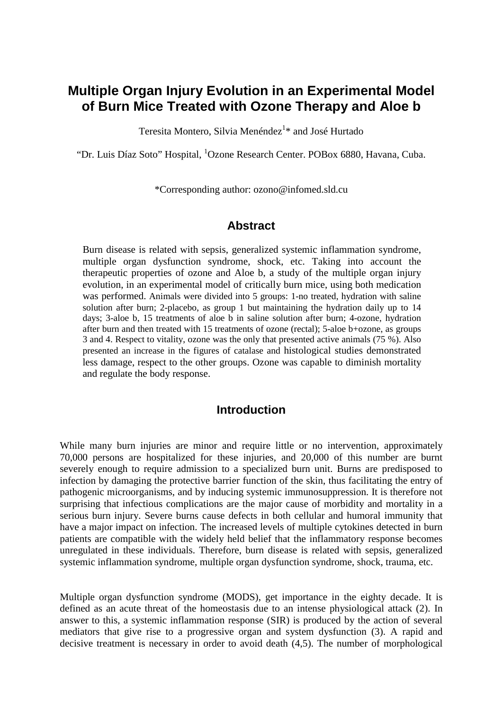# **Multiple Organ Injury Evolution in an Experimental Model of Burn Mice Treated with Ozone Therapy and Aloe b**

Teresita Montero, Silvia Menéndez<sup>1</sup>\* and José Hurtado

"Dr. Luis Díaz Soto" Hospital, <sup>1</sup>Ozone Research Center. POBox 6880, Havana, Cuba.

\*Corresponding author: ozono@infomed.sld.cu

#### **Abstract**

Burn disease is related with sepsis, generalized systemic inflammation syndrome, multiple organ dysfunction syndrome, shock, etc. Taking into account the therapeutic properties of ozone and Aloe b, a study of the multiple organ injury evolution, in an experimental model of critically burn mice, using both medication was performed. Animals were divided into 5 groups: 1-no treated, hydration with saline solution after burn; 2-placebo, as group 1 but maintaining the hydration daily up to 14 days; 3-aloe b, 15 treatments of aloe b in saline solution after burn; 4-ozone, hydration after burn and then treated with 15 treatments of ozone (rectal); 5-aloe b+ozone, as groups 3 and 4. Respect to vitality, ozone was the only that presented active animals (75 %). Also presented an increase in the figures of catalase and histological studies demonstrated less damage, respect to the other groups. Ozone was capable to diminish mortality and regulate the body response.

#### **Introduction**

While many burn injuries are minor and require little or no intervention, approximately 70,000 persons are hospitalized for these injuries, and 20,000 of this number are burnt severely enough to require admission to a specialized burn unit. Burns are predisposed to infection by damaging the protective barrier function of the skin, thus facilitating the entry of pathogenic microorganisms, and by inducing systemic immunosuppression. It is therefore not surprising that infectious complications are the major cause of morbidity and mortality in a serious burn injury. Severe burns cause defects in both cellular and humoral immunity that have a major impact on infection. The increased levels of multiple cytokines detected in burn patients are compatible with the widely held belief that the inflammatory response becomes unregulated in these individuals. Therefore, burn disease is related with sepsis, generalized systemic inflammation syndrome, multiple organ dysfunction syndrome, shock, trauma, etc.

Multiple organ dysfunction syndrome (MODS), get importance in the eighty decade. It is defined as an acute threat of the homeostasis due to an intense physiological attack (2). In answer to this, a systemic inflammation response (SIR) is produced by the action of several mediators that give rise to a progressive organ and system dysfunction (3). A rapid and decisive treatment is necessary in order to avoid death (4,5). The number of morphological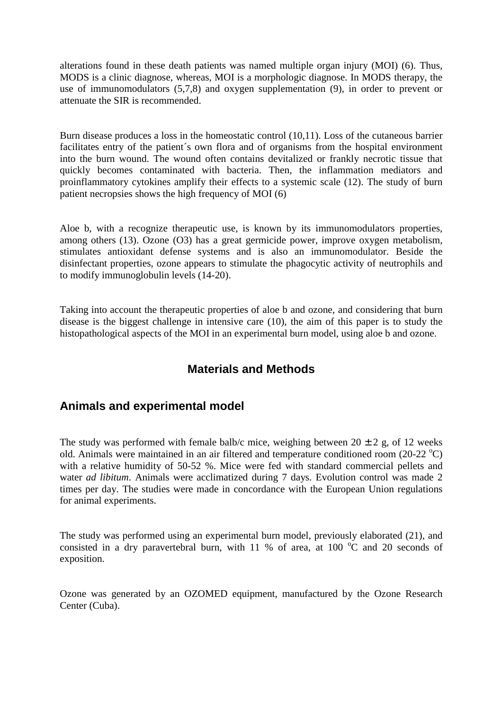alterations found in these death patients was named multiple organ injury (MOI) (6). Thus, MODS is a clinic diagnose, whereas, MOI is a morphologic diagnose. In MODS therapy, the use of immunomodulators (5,7,8) and oxygen supplementation (9), in order to prevent or attenuate the SIR is recommended.

Burn disease produces a loss in the homeostatic control (10,11). Loss of the cutaneous barrier facilitates entry of the patient's own flora and of organisms from the hospital environment into the burn wound. The wound often contains devitalized or frankly necrotic tissue that quickly becomes contaminated with bacteria. Then, the inflammation mediators and proinflammatory cytokines amplify their effects to a systemic scale (12). The study of burn patient necropsies shows the high frequency of MOI (6)

Aloe b, with a recognize therapeutic use, is known by its immunomodulators properties, among others (13). Ozone (O3) has a great germicide power, improve oxygen metabolism, stimulates antioxidant defense systems and is also an immunomodulator. Beside the disinfectant properties, ozone appears to stimulate the phagocytic activity of neutrophils and to modify immunoglobulin levels (14-20).

Taking into account the therapeutic properties of aloe b and ozone, and considering that burn disease is the biggest challenge in intensive care (10), the aim of this paper is to study the histopathological aspects of the MOI in an experimental burn model, using aloe b and ozone.

## **Materials and Methods**

## **Animals and experimental model**

The study was performed with female balb/c mice, weighing between  $20 \pm 2$  g, of 12 weeks old. Animals were maintained in an air filtered and temperature conditioned room (20-22 °C) with a relative humidity of 50-52 %. Mice were fed with standard commercial pellets and water *ad libitum*. Animals were acclimatized during 7 days. Evolution control was made 2 times per day. The studies were made in concordance with the European Union regulations for animal experiments.

The study was performed using an experimental burn model, previously elaborated (21), and consisted in a dry paravertebral burn, with 11 % of area, at 100  $^{\circ}$ C and 20 seconds of exposition.

Ozone was generated by an OZOMED equipment, manufactured by the Ozone Research Center (Cuba).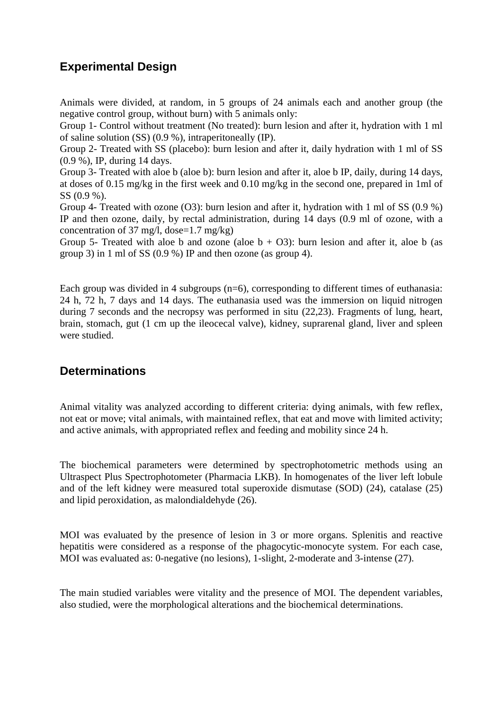## **Experimental Design**

Animals were divided, at random, in 5 groups of 24 animals each and another group (the negative control group, without burn) with 5 animals only:

Group 1- Control without treatment (No treated): burn lesion and after it, hydration with 1 ml of saline solution (SS) (0.9 %), intraperitoneally (IP).

Group 2- Treated with SS (placebo): burn lesion and after it, daily hydration with 1 ml of SS (0.9 %), IP, during 14 days.

Group 3- Treated with aloe b (aloe b): burn lesion and after it, aloe b IP, daily, during 14 days, at doses of 0.15 mg/kg in the first week and 0.10 mg/kg in the second one, prepared in 1ml of SS (0.9 %).

Group 4- Treated with ozone (O3): burn lesion and after it, hydration with 1 ml of SS (0.9 %) IP and then ozone, daily, by rectal administration, during 14 days (0.9 ml of ozone, with a concentration of 37 mg/l, dose= $1.7 \text{ mg/kg}$ )

Group 5- Treated with aloe b and ozone (aloe  $b + O3$ ): burn lesion and after it, aloe b (as group 3) in 1 ml of SS (0.9 %) IP and then ozone (as group 4).

Each group was divided in 4 subgroups (n=6), corresponding to different times of euthanasia: 24 h, 72 h, 7 days and 14 days. The euthanasia used was the immersion on liquid nitrogen during 7 seconds and the necropsy was performed in situ (22,23). Fragments of lung, heart, brain, stomach, gut (1 cm up the ileocecal valve), kidney, suprarenal gland, liver and spleen were studied.

### **Determinations**

Animal vitality was analyzed according to different criteria: dying animals, with few reflex, not eat or move; vital animals, with maintained reflex, that eat and move with limited activity; and active animals, with appropriated reflex and feeding and mobility since 24 h.

The biochemical parameters were determined by spectrophotometric methods using an Ultraspect Plus Spectrophotometer (Pharmacia LKB). In homogenates of the liver left lobule and of the left kidney were measured total superoxide dismutase (SOD) (24), catalase (25) and lipid peroxidation, as malondialdehyde (26).

MOI was evaluated by the presence of lesion in 3 or more organs. Splenitis and reactive hepatitis were considered as a response of the phagocytic-monocyte system. For each case, MOI was evaluated as: 0-negative (no lesions), 1-slight, 2-moderate and 3-intense (27).

The main studied variables were vitality and the presence of MOI. The dependent variables, also studied, were the morphological alterations and the biochemical determinations.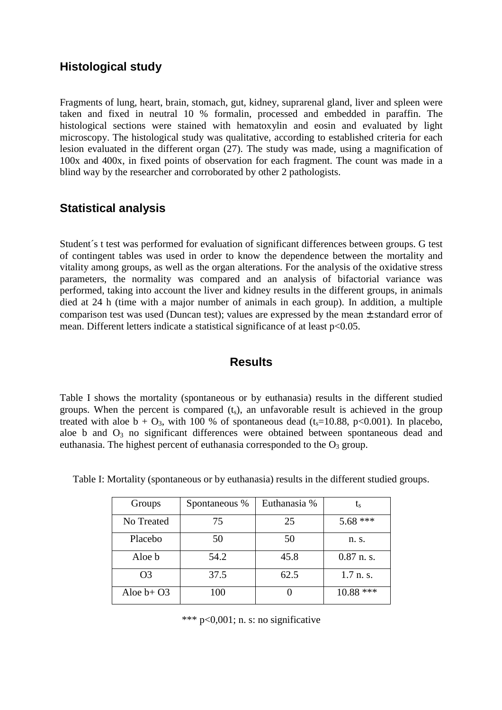#### **Histological study**

Fragments of lung, heart, brain, stomach, gut, kidney, suprarenal gland, liver and spleen were taken and fixed in neutral 10 % formalin, processed and embedded in paraffin. The histological sections were stained with hematoxylin and eosin and evaluated by light microscopy. The histological study was qualitative, according to established criteria for each lesion evaluated in the different organ (27). The study was made, using a magnification of 100x and 400x, in fixed points of observation for each fragment. The count was made in a blind way by the researcher and corroborated by other 2 pathologists.

### **Statistical analysis**

Student´s t test was performed for evaluation of significant differences between groups. G test of contingent tables was used in order to know the dependence between the mortality and vitality among groups, as well as the organ alterations. For the analysis of the oxidative stress parameters, the normality was compared and an analysis of bifactorial variance was performed, taking into account the liver and kidney results in the different groups, in animals died at 24 h (time with a major number of animals in each group). In addition, a multiple comparison test was used (Duncan test); values are expressed by the mean  $\pm$  standard error of mean. Different letters indicate a statistical significance of at least  $p<0.05$ .

### **Results**

Table I shows the mortality (spontaneous or by euthanasia) results in the different studied groups. When the percent is compared  $(t<sub>s</sub>)$ , an unfavorable result is achieved in the group treated with aloe  $b + O_3$ , with 100 % of spontaneous dead (t<sub>s</sub>=10.88, p<0.001). In placebo, aloe b and  $O_3$  no significant differences were obtained between spontaneous dead and euthanasia. The highest percent of euthanasia corresponded to the  $O_3$  group.

| Groups         | Spontaneous % | Euthanasia % | $L_{S}$      |
|----------------|---------------|--------------|--------------|
| No Treated     | 75            | 25           | $5.68$ ***   |
| Placebo        | 50            | 50           | n. s.        |
| Aloe b         | 54.2          | 45.8         | $0.87$ n. s. |
| O <sub>3</sub> | 37.5          | 62.5         | 1.7 n.s.     |
| Aloe $b+O3$    | 100           |              | ***<br>10.88 |

Table I: Mortality (spontaneous or by euthanasia) results in the different studied groups.

\*\*\*  $p<0,001$ ; n. s: no significative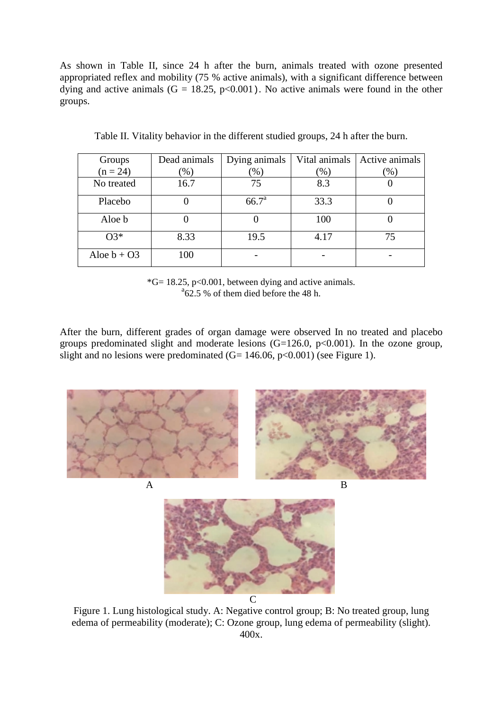As shown in Table II, since 24 h after the burn, animals treated with ozone presented appropriated reflex and mobility (75 % active animals), with a significant difference between dying and active animals  $(G = 18.25, p<0.001)$ . No active animals were found in the other groups.

| Groups        | Dead animals | Dying animals     | Vital animals | Active animals          |
|---------------|--------------|-------------------|---------------|-------------------------|
| $(n = 24)$    | $(\% )$      | $\frac{9}{6}$ )   | (96)          | $\gamma$ <sup>(</sup> ) |
| No treated    | 16.7         | 75                | 8.3           |                         |
| Placebo       |              | 66.7 <sup>a</sup> | 33.3          |                         |
| Aloe b        |              |                   | 100           |                         |
| $O3*$         | 8.33         | 19.5              | 4.17          | 75                      |
| Aloe $b + O3$ | 100          |                   |               |                         |

Table II. Vitality behavior in the different studied groups, 24 h after the burn.

 $*G= 18.25$ , p<0.001, between dying and active animals.  $^{8}62.5$  % of them died before the 48 h.

After the burn, different grades of organ damage were observed In no treated and placebo groups predominated slight and moderate lesions  $(G=126.0, p<0.001)$ . In the ozone group, slight and no lesions were predominated  $(G= 146.06, p<0.001)$  (see Figure 1).



Figure 1. Lung histological study. A: Negative control group; B: No treated group, lung edema of permeability (moderate); C: Ozone group, lung edema of permeability (slight). 400x.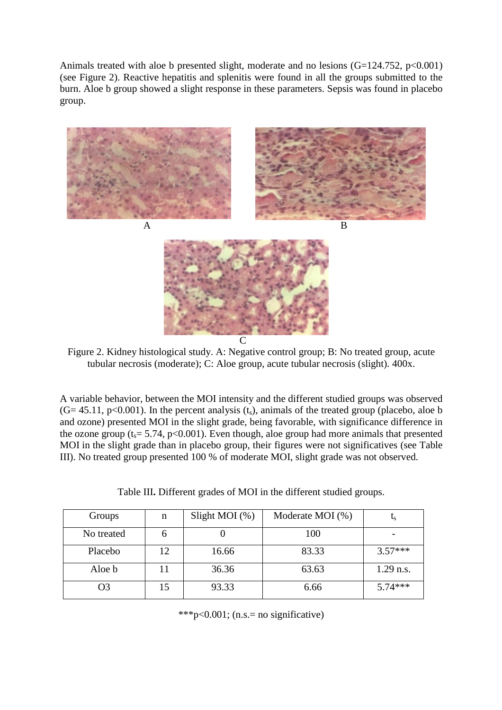Animals treated with aloe b presented slight, moderate and no lesions  $(G=124.752, p<0.001)$ (see Figure 2). Reactive hepatitis and splenitis were found in all the groups submitted to the burn. Aloe b group showed a slight response in these parameters. Sepsis was found in placebo group.



Figure 2. Kidney histological study. A: Negative control group; B: No treated group, acute tubular necrosis (moderate); C: Aloe group, acute tubular necrosis (slight). 400x.

A variable behavior, between the MOI intensity and the different studied groups was observed  $(G= 45.11, p<0.001)$ . In the percent analysis  $(t<sub>s</sub>)$ , animals of the treated group (placebo, aloe b and ozone) presented MOI in the slight grade, being favorable, with significance difference in the ozone group ( $t_s$  = 5.74, p<0.001). Even though, aloe group had more animals that presented MOI in the slight grade than in placebo group, their figures were not significatives (see Table III). No treated group presented 100 % of moderate MOI, slight grade was not observed.

Table III**.** Different grades of MOI in the different studied groups.

| Groups     | n  | Slight MOI $(\%)$ | Moderate MOI (%) |             |
|------------|----|-------------------|------------------|-------------|
| No treated |    |                   | 100              |             |
| Placebo    | 12 | 16.66             | 83.33            | $3.57***$   |
| Aloe b     |    | 36.36             | 63.63            | $1.29$ n.s. |
| O3         |    | 93.33             | 6.66             | $5.74***$   |

\*\*\*p<0.001; (n.s.= no significative)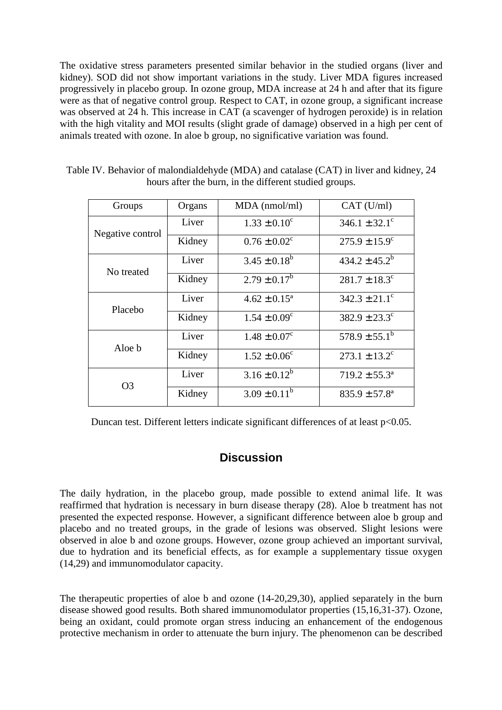The oxidative stress parameters presented similar behavior in the studied organs (liver and kidney). SOD did not show important variations in the study. Liver MDA figures increased progressively in placebo group. In ozone group, MDA increase at 24 h and after that its figure were as that of negative control group. Respect to CAT, in ozone group, a significant increase was observed at 24 h. This increase in CAT (a scavenger of hydrogen peroxide) is in relation with the high vitality and MOI results (slight grade of damage) observed in a high per cent of animals treated with ozone. In aloe b group, no significative variation was found.

| Groups           | Organs | $MDA$ (nmol/ml)         | CAT (U/ml)                    |
|------------------|--------|-------------------------|-------------------------------|
| Negative control | Liver  | $1.33 \pm 0.10^c$       | $346.1 \pm 32.1$ <sup>c</sup> |
|                  | Kidney | $0.76 \pm 0.02^c$       | $275.9 \pm 15.9^c$            |
| No treated       | Liver  | $3.45 \pm 0.18^b$       | $434.2 \pm 45.2^b$            |
|                  | Kidney | $2.79 \pm 0.17^b$       | $281.7 \pm 18.3^c$            |
| Placebo          | Liver  | $4.62 \pm 0.15^{\circ}$ | $342.3 \pm 21.1$ <sup>c</sup> |
|                  | Kidney | $1.54 \pm 0.09^c$       | $382.9 \pm 23.3$ <sup>c</sup> |
| Aloe b           | Liver  | $1.48 \pm 0.07^c$       | $578.9 \pm 55.1^b$            |
|                  | Kidney | $1.52 \pm 0.06^{\circ}$ | $273.1 \pm 13.2$ <sup>c</sup> |
| O3               | Liver  | $3.16 \pm 0.12^b$       | $719.2 \pm 55.3^{\circ}$      |
|                  | Kidney | $3.09 \pm 0.11^b$       | $835.9 \pm 57.8^{\circ}$      |

Table IV. Behavior of malondialdehyde (MDA) and catalase (CAT) in liver and kidney, 24 hours after the burn, in the different studied groups.

Duncan test. Different letters indicate significant differences of at least p<0.05.

### **Discussion**

The daily hydration, in the placebo group, made possible to extend animal life. It was reaffirmed that hydration is necessary in burn disease therapy (28). Aloe b treatment has not presented the expected response. However, a significant difference between aloe b group and placebo and no treated groups, in the grade of lesions was observed. Slight lesions were observed in aloe b and ozone groups. However, ozone group achieved an important survival, due to hydration and its beneficial effects, as for example a supplementary tissue oxygen (14,29) and immunomodulator capacity.

The therapeutic properties of aloe b and ozone (14-20,29,30), applied separately in the burn disease showed good results. Both shared immunomodulator properties (15,16,31-37). Ozone, being an oxidant, could promote organ stress inducing an enhancement of the endogenous protective mechanism in order to attenuate the burn injury. The phenomenon can be described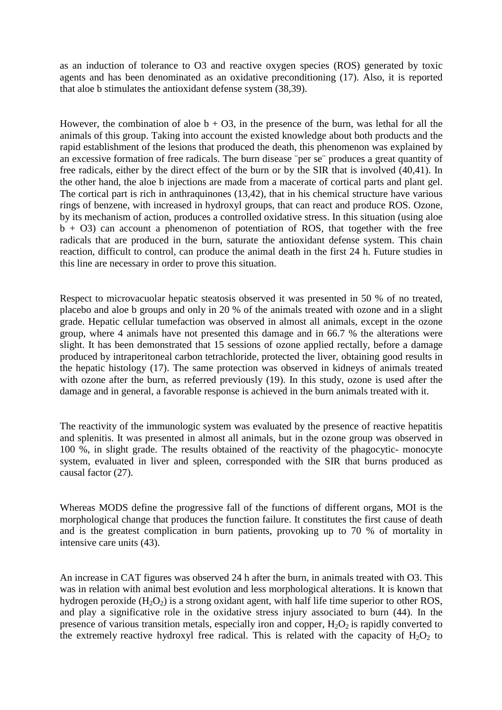as an induction of tolerance to O3 and reactive oxygen species (ROS) generated by toxic agents and has been denominated as an oxidative preconditioning (17). Also, it is reported that aloe b stimulates the antioxidant defense system (38,39).

However, the combination of aloe  $b + O3$ , in the presence of the burn, was lethal for all the animals of this group. Taking into account the existed knowledge about both products and the rapid establishment of the lesions that produced the death, this phenomenon was explained by an excessive formation of free radicals. The burn disease ¨per se¨ produces a great quantity of free radicals, either by the direct effect of the burn or by the SIR that is involved (40,41). In the other hand, the aloe b injections are made from a macerate of cortical parts and plant gel. The cortical part is rich in anthraquinones (13,42), that in his chemical structure have various rings of benzene, with increased in hydroxyl groups, that can react and produce ROS. Ozone, by its mechanism of action, produces a controlled oxidative stress. In this situation (using aloe  $\bar{b}$  + O3) can account a phenomenon of potentiation of ROS, that together with the free radicals that are produced in the burn, saturate the antioxidant defense system. This chain reaction, difficult to control, can produce the animal death in the first 24 h. Future studies in this line are necessary in order to prove this situation.

Respect to microvacuolar hepatic steatosis observed it was presented in 50 % of no treated, placebo and aloe b groups and only in 20 % of the animals treated with ozone and in a slight grade. Hepatic cellular tumefaction was observed in almost all animals, except in the ozone group, where 4 animals have not presented this damage and in 66.7 % the alterations were slight. It has been demonstrated that 15 sessions of ozone applied rectally, before a damage produced by intraperitoneal carbon tetrachloride, protected the liver, obtaining good results in the hepatic histology (17). The same protection was observed in kidneys of animals treated with ozone after the burn, as referred previously (19). In this study, ozone is used after the damage and in general, a favorable response is achieved in the burn animals treated with it.

The reactivity of the immunologic system was evaluated by the presence of reactive hepatitis and splenitis. It was presented in almost all animals, but in the ozone group was observed in 100 %, in slight grade. The results obtained of the reactivity of the phagocytic- monocyte system, evaluated in liver and spleen, corresponded with the SIR that burns produced as causal factor (27).

Whereas MODS define the progressive fall of the functions of different organs, MOI is the morphological change that produces the function failure. It constitutes the first cause of death and is the greatest complication in burn patients, provoking up to 70 % of mortality in intensive care units (43).

An increase in CAT figures was observed 24 h after the burn, in animals treated with O3. This was in relation with animal best evolution and less morphological alterations. It is known that hydrogen peroxide  $(H_2O_2)$  is a strong oxidant agent, with half life time superior to other ROS, and play a significative role in the oxidative stress injury associated to burn (44). In the presence of various transition metals, especially iron and copper,  $H_2O_2$  is rapidly converted to the extremely reactive hydroxyl free radical. This is related with the capacity of  $H_2O_2$  to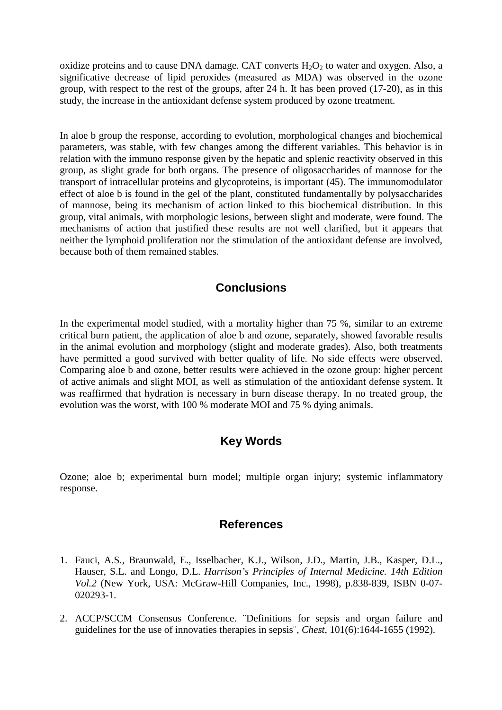oxidize proteins and to cause DNA damage. CAT converts  $H_2O_2$  to water and oxygen. Also, a significative decrease of lipid peroxides (measured as MDA) was observed in the ozone group, with respect to the rest of the groups, after 24 h. It has been proved (17-20), as in this study, the increase in the antioxidant defense system produced by ozone treatment.

In aloe b group the response, according to evolution, morphological changes and biochemical parameters, was stable, with few changes among the different variables. This behavior is in relation with the immuno response given by the hepatic and splenic reactivity observed in this group, as slight grade for both organs. The presence of oligosaccharides of mannose for the transport of intracellular proteins and glycoproteins, is important (45). The immunomodulator effect of aloe b is found in the gel of the plant, constituted fundamentally by polysaccharides of mannose, being its mechanism of action linked to this biochemical distribution. In this group, vital animals, with morphologic lesions, between slight and moderate, were found. The mechanisms of action that justified these results are not well clarified, but it appears that neither the lymphoid proliferation nor the stimulation of the antioxidant defense are involved, because both of them remained stables.

### **Conclusions**

In the experimental model studied, with a mortality higher than 75 %, similar to an extreme critical burn patient, the application of aloe b and ozone, separately, showed favorable results in the animal evolution and morphology (slight and moderate grades). Also, both treatments have permitted a good survived with better quality of life. No side effects were observed. Comparing aloe b and ozone, better results were achieved in the ozone group: higher percent of active animals and slight MOI, as well as stimulation of the antioxidant defense system. It was reaffirmed that hydration is necessary in burn disease therapy. In no treated group, the evolution was the worst, with 100 % moderate MOI and 75 % dying animals.

## **Key Words**

Ozone; aloe b; experimental burn model; multiple organ injury; systemic inflammatory response.

#### **References**

- 1. Fauci, A.S., Braunwald, E., Isselbacher, K.J., Wilson, J.D., Martin, J.B., Kasper, D.L., Hauser, S.L. and Longo, D.L. *Harrison's Principles of Internal Medicine. 14th Edition Vol.2* (New York, USA: McGraw-Hill Companies, Inc., 1998), p.838-839, ISBN 0-07- 020293-1.
- 2. ACCP/SCCM Consensus Conference. ¨Definitions for sepsis and organ failure and guidelines for the use of innovaties therapies in sepsis¨, *Chest*, 101(6):1644-1655 (1992).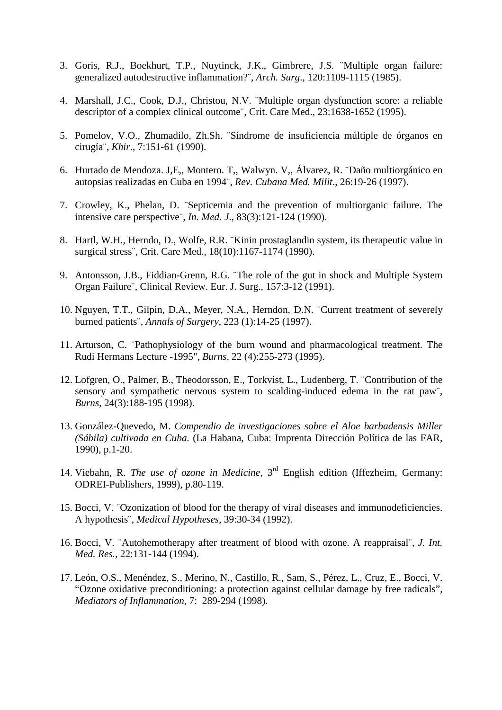- 3. Goris, R.J., Boekhurt, T.P., Nuytinck, J.K., Gimbrere, J.S. ¨Multiple organ failure: generalized autodestructive inflammation?¨, *Arch. Surg*., 120:1109-1115 (1985).
- 4. Marshall, J.C., Cook, D.J., Christou, N.V. ¨Multiple organ dysfunction score: a reliable descriptor of a complex clinical outcome¨, Crit. Care Med., 23:1638-1652 (1995).
- 5. Pomelov, V.O., Zhumadilo, Zh.Sh. ¨Síndrome de insuficiencia múltiple de órganos en cirugía¨, *Khir*., 7:151-61 (1990).
- 6. Hurtado de Mendoza. J,E,, Montero. T,, Walwyn. V,, Álvarez, R. ¨Daño multiorgánico en autopsias realizadas en Cuba en 1994¨, *Rev. Cubana Med. Milit*., 26:19-26 (1997).
- 7. Crowley, K., Phelan, D. ¨Septicemia and the prevention of multiorganic failure. The intensive care perspective¨, *In. Med. J*., 83(3):121-124 (1990).
- 8. Hartl, W.H., Herndo, D., Wolfe, R.R. ¨Kinin prostaglandin system, its therapeutic value in surgical stress¨, Crit. Care Med., 18(10):1167-1174 (1990).
- 9. Antonsson, J.B., Fiddian-Grenn, R.G. ¨The role of the gut in shock and Multiple System Organ Failure¨, Clinical Review. Eur. J. Surg., 157:3-12 (1991).
- 10. Nguyen, T.T., Gilpin, D.A., Meyer, N.A., Herndon, D.N. ¨Current treatment of severely burned patients¨, *Annals of Surgery*, 223 (1):14-25 (1997).
- 11. Arturson, C. ¨Pathophysiology of the burn wound and pharmacological treatment. The Rudi Hermans Lecture -1995", *Burns*, 22 (4):255-273 (1995).
- 12. Lofgren, O., Palmer, B., Theodorsson, E., Torkvist, L., Ludenberg, T. ¨Contribution of the sensory and sympathetic nervous system to scalding-induced edema in the rat paw¨, *Burns*, 24(3):188-195 (1998).
- 13. González-Quevedo, M. *Compendio de investigaciones sobre el Aloe barbadensis Miller (Sábila) cultivada en Cuba.* (La Habana, Cuba: Imprenta Dirección Política de las FAR, 1990), p.1-20.
- 14. Viebahn, R. *The use of ozone in Medicine,* 3rd English edition (Iffezheim, Germany: ODREI-Publishers, 1999), p.80-119.
- 15. Bocci, V. ¨Ozonization of blood for the therapy of viral diseases and immunodeficiencies. A hypothesis¨, *Medical Hypotheses*, 39:30-34 (1992).
- 16. Bocci, V. ¨Autohemotherapy after treatment of blood with ozone. A reappraisal¨, *J. Int. Med. Res.,* 22:131-144 (1994).
- 17. León, O.S., Menéndez, S., Merino, N., Castillo, R., Sam, S., Pérez, L., Cruz, E., Bocci, V. "Ozone oxidative preconditioning: a protection against cellular damage by free radicals", *Mediators of Inflammation*, 7: 289-294 (1998).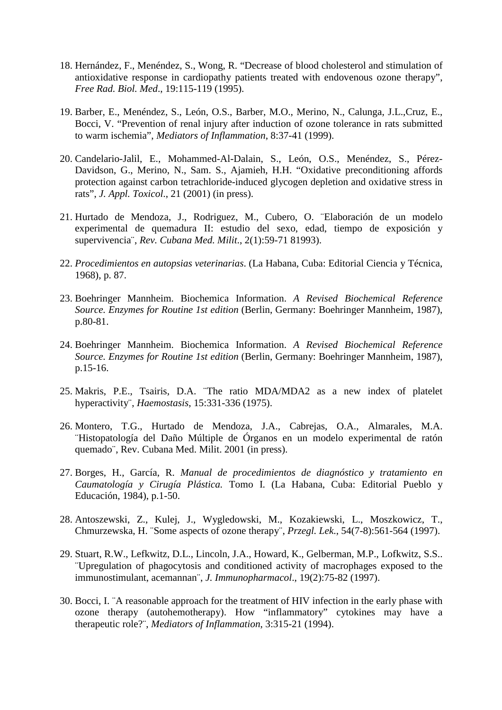- 18. Hernández, F., Menéndez, S., Wong, R. "Decrease of blood cholesterol and stimulation of antioxidative response in cardiopathy patients treated with endovenous ozone therapy", *Free Rad. Biol. Med*., 19:115-119 (1995).
- 19. Barber, E., Menéndez, S., León, O.S., Barber, M.O., Merino, N., Calunga, J.L.,Cruz, E., Bocci, V. "Prevention of renal injury after induction of ozone tolerance in rats submitted to warm ischemia", *Mediators of Inflammation*, 8:37-41 (1999).
- 20. Candelario-Jalil, E., Mohammed-Al-Dalain, S., León, O.S., Menéndez, S., Pérez-Davidson, G., Merino, N., Sam. S., Ajamieh, H.H. "Oxidative preconditioning affords protection against carbon tetrachloride-induced glycogen depletion and oxidative stress in rats", *J. Appl. Toxicol*., 21 (2001) (in press).
- 21. Hurtado de Mendoza, J., Rodriguez, M., Cubero, O. ¨Elaboración de un modelo experimental de quemadura II: estudio del sexo, edad, tiempo de exposición y supervivencia¨, *Rev. Cubana Med. Milit*., 2(1):59-71 81993).
- 22. *Procedimientos en autopsias veterinarias*. (La Habana, Cuba: Editorial Ciencia y Técnica, 1968), p. 87.
- 23. Boehringer Mannheim. Biochemica Information. *A Revised Biochemical Reference Source. Enzymes for Routine 1st edition* (Berlin, Germany: Boehringer Mannheim, 1987), p.80-81.
- 24. Boehringer Mannheim. Biochemica Information. *A Revised Biochemical Reference Source. Enzymes for Routine 1st edition* (Berlin, Germany: Boehringer Mannheim, 1987), p.15-16.
- 25. Makris, P.E., Tsairis, D.A. ¨The ratio MDA/MDA2 as a new index of platelet hyperactivity¨, *Haemostasis*, 15:331-336 (1975).
- 26. Montero, T.G., Hurtado de Mendoza, J.A., Cabrejas, O.A., Almarales, M.A. ¨Histopatología del Daño Múltiple de Órganos en un modelo experimental de ratón quemado¨, Rev. Cubana Med. Milit. 2001 (in press).
- 27. Borges, H., García, R. *Manual de procedimientos de diagnóstico y tratamiento en Caumatología y Cirugía Plástica.* Tomo I. (La Habana, Cuba: Editorial Pueblo y Educación, 1984), p.1-50.
- 28. Antoszewski, Z., Kulej, J., Wygledowski, M., Kozakiewski, L., Moszkowicz, T., Chmurzewska, H. ¨Some aspects of ozone therapy¨, *Przegl. Lek*., 54(7-8):561-564 (1997).
- 29. Stuart, R.W., Lefkwitz, D.L., Lincoln, J.A., Howard, K., Gelberman, M.P., Lofkwitz, S.S.. ¨Upregulation of phagocytosis and conditioned activity of macrophages exposed to the immunostimulant, acemannan¨, *J. Immunopharmacol*., 19(2):75-82 (1997).
- 30. Bocci, I. ¨A reasonable approach for the treatment of HIV infection in the early phase with ozone therapy (autohemotherapy). How "inflammatory" cytokines may have a therapeutic role?¨, *Mediators of Inflammation*, 3:315-21 (1994).